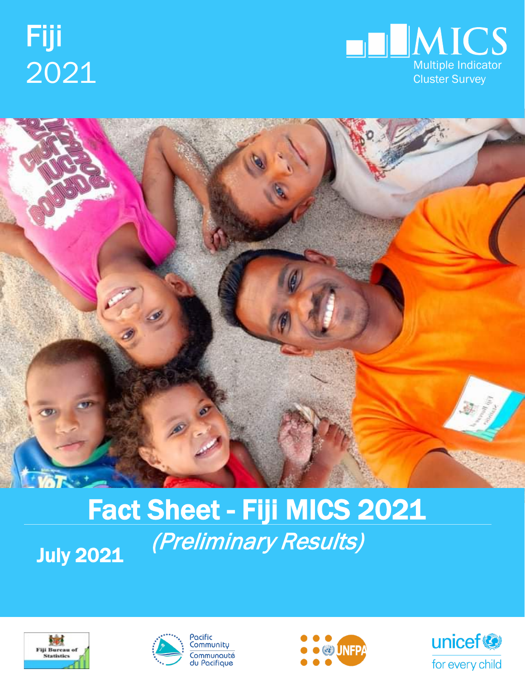



# Fact Sheet - Fiji MICS 2021 (Preliminary Results) July 2021







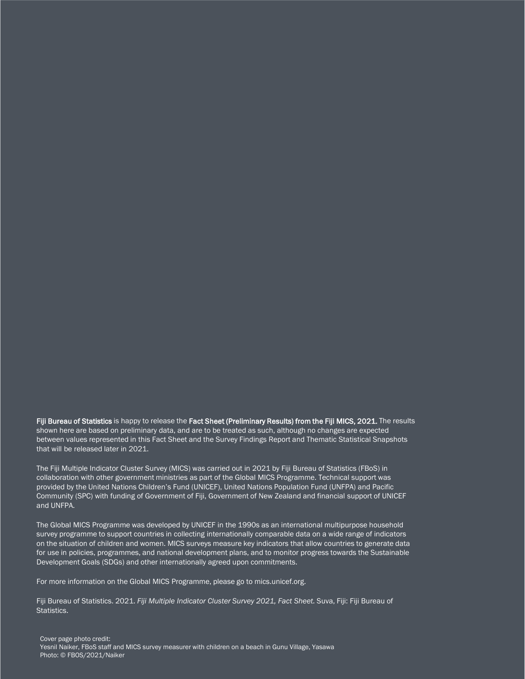Fiji Bureau of Statistics is happy to release the Fact Sheet (Preliminary Results) from the Fiji MICS, 2021. The results shown here are based on preliminary data, and are to be treated as such, although no changes are expected between values represented in this Fact Sheet and the Survey Findings Report and Thematic Statistical Snapshots that will be released later in 2021.

The Fiji Multiple Indicator Cluster Survey (MICS) was carried out in 2021 by Fiji Bureau of Statistics (FBoS) in collaboration with other government ministries as part of the Global MICS Programme. Technical support was provided by the United Nations Children's Fund (UNICEF), United Nations Population Fund (UNFPA) and Pacific Community (SPC) with funding of Government of Fiji, Government of New Zealand and financial support of UNICEF and UNFPA.

The Global MICS Programme was developed by UNICEF in the 1990s as an international multipurpose household survey programme to support countries in collecting internationally comparable data on a wide range of indicators on the situation of children and women. MICS surveys measure key indicators that allow countries to generate data for use in policies, programmes, and national development plans, and to monitor progress towards the Sustainable Development Goals (SDGs) and other internationally agreed upon commitments.

For more information on the Global MICS Programme, please go to mics.unicef.org.

Fiji Bureau of Statistics. 2021. *Fiji Multiple Indicator Cluster Survey 2021, Fact Sheet.* Suva, Fiji: Fiji Bureau of Statistics.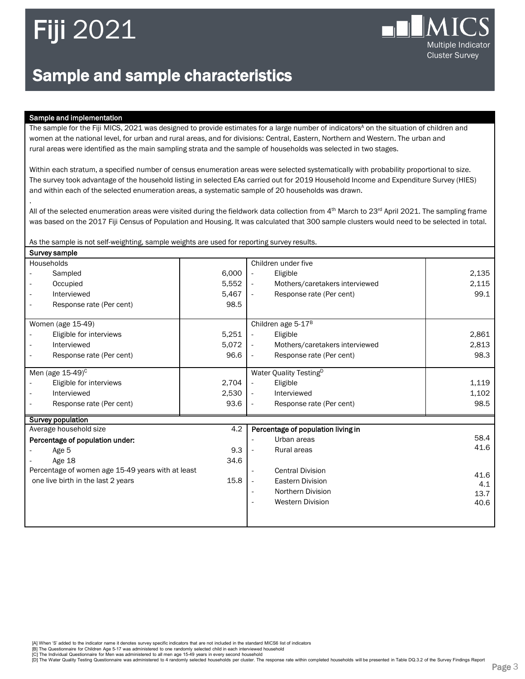

### Sample and sample characteristics

#### Sample and implementation

.

The sample for the Fiji MICS, 2021 was designed to provide estimates for a large number of indicators<sup>A</sup> on the situation of children and women at the national level, for urban and rural areas, and for divisions: Central, Eastern, Northern and Western. The urban and rural areas were identified as the main sampling strata and the sample of households was selected in two stages.

Within each stratum, a specified number of census enumeration areas were selected systematically with probability proportional to size. The survey took advantage of the household listing in selected EAs carried out for 2019 Household Income and Expenditure Survey (HIES) and within each of the selected enumeration areas, a systematic sample of 20 households was drawn.

All of the selected enumeration areas were visited during the fieldwork data collection from 4<sup>th</sup> March to 23<sup>rd</sup> April 2021. The sampling frame was based on the 2017 Fiji Census of Population and Housing. It was calculated that 300 sample clusters would need to be selected in total.

As the sample is not self-weighting, sample weights are used for reporting survey results.

| Survey sample                                     |       |                                                            |       |  |  |  |
|---------------------------------------------------|-------|------------------------------------------------------------|-------|--|--|--|
| Households                                        |       | Children under five                                        |       |  |  |  |
| Sampled                                           | 6,000 | Eligible<br>$\overline{\phantom{a}}$                       | 2,135 |  |  |  |
| Occupied                                          | 5,552 | Mothers/caretakers interviewed<br>$\overline{\phantom{a}}$ | 2,115 |  |  |  |
| Interviewed                                       | 5,467 | Response rate (Per cent)<br>$\overline{\phantom{a}}$       | 99.1  |  |  |  |
| Response rate (Per cent)                          | 98.5  |                                                            |       |  |  |  |
|                                                   |       |                                                            |       |  |  |  |
| Women (age 15-49)                                 |       | Children age 5-17 <sup>B</sup>                             |       |  |  |  |
| Eligible for interviews                           | 5,251 | Eligible<br>$\frac{1}{2}$                                  | 2,861 |  |  |  |
| Interviewed                                       | 5,072 | Mothers/caretakers interviewed<br>$\blacksquare$           | 2,813 |  |  |  |
| Response rate (Per cent)                          | 96.6  | Response rate (Per cent)<br>$\overline{\phantom{a}}$       | 98.3  |  |  |  |
|                                                   |       |                                                            |       |  |  |  |
| Men (age $15-49$ ) <sup>c</sup>                   |       | Water Quality Testing <sup>D</sup>                         |       |  |  |  |
| Eligible for interviews                           | 2,704 | Eligible<br>$\overline{\phantom{a}}$                       | 1,119 |  |  |  |
| Interviewed                                       | 2,530 | Interviewed<br>$\overline{\phantom{a}}$                    | 1,102 |  |  |  |
| Response rate (Per cent)                          | 93.6  | Response rate (Per cent)                                   | 98.5  |  |  |  |
| Survey population                                 |       |                                                            |       |  |  |  |
| Average household size                            | 4.2   | Percentage of population living in                         |       |  |  |  |
| Percentage of population under:                   |       | Urban areas                                                | 58.4  |  |  |  |
| Age 5                                             | 9.3   | Rural areas<br>$\overline{\phantom{a}}$                    | 41.6  |  |  |  |
| Age 18                                            | 34.6  |                                                            |       |  |  |  |
| Percentage of women age 15-49 years with at least |       | <b>Central Division</b>                                    |       |  |  |  |
| one live birth in the last 2 years                | 15.8  | <b>Eastern Division</b><br>$\overline{\phantom{a}}$        | 41.6  |  |  |  |
|                                                   |       | Northern Division                                          | 4.1   |  |  |  |
|                                                   |       | <b>Western Division</b>                                    | 13.7  |  |  |  |
|                                                   |       |                                                            | 40.6  |  |  |  |
|                                                   |       |                                                            |       |  |  |  |
|                                                   |       |                                                            |       |  |  |  |

[A] When 'S' added to the indicator name it denotes survey specific indicators that are not included in the standard MICS6 list of indicators

- 
- [B] The Questionnaire for Children Age 5-17 was administered to one randomly selected child in each interviewed household<br>[C] The Individual Questionnaire for Men was administered to all men age 15-49 years in every second

[D] The Water Quality Testing Questionnaire was administered to 4 randomly selected households per cluster. The response rate within completed households will be presented in Table DQ.3.2 of the Survey Findings Report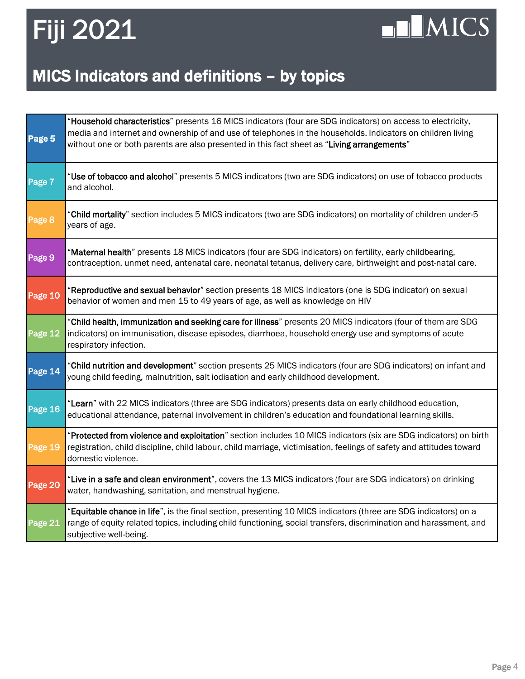## $\n **II** MICS$

### MICS Indicators and definitions – by topics

| Page 5  | "Household characteristics" presents 16 MICS indicators (four are SDG indicators) on access to electricity,<br>media and internet and ownership of and use of telephones in the households. Indicators on children living<br>without one or both parents are also presented in this fact sheet as "Living arrangements" |
|---------|-------------------------------------------------------------------------------------------------------------------------------------------------------------------------------------------------------------------------------------------------------------------------------------------------------------------------|
| Page 7  | "Use of tobacco and alcohol" presents 5 MICS indicators (two are SDG indicators) on use of tobacco products<br>and alcohol.                                                                                                                                                                                             |
| Page 8  | "Child mortality" section includes 5 MICS indicators (two are SDG indicators) on mortality of children under-5<br>years of age.                                                                                                                                                                                         |
| Page 9  | 'Maternal health" presents 18 MICS indicators (four are SDG indicators) on fertility, early childbearing,<br>contraception, unmet need, antenatal care, neonatal tetanus, delivery care, birthweight and post-natal care.                                                                                               |
| Page 10 | 'Reproductive and sexual behavior" section presents 18 MICS indicators (one is SDG indicator) on sexual<br>behavior of women and men 15 to 49 years of age, as well as knowledge on HIV                                                                                                                                 |
| Page 12 | "Child health, immunization and seeking care for illness" presents 20 MICS indicators (four of them are SDG<br>indicators) on immunisation, disease episodes, diarrhoea, household energy use and symptoms of acute<br>respiratory infection.                                                                           |
| Page 14 | "Child nutrition and development" section presents 25 MICS indicators (four are SDG indicators) on infant and<br>young child feeding, malnutrition, salt iodisation and early childhood development.                                                                                                                    |
| Page 16 | "Learn" with 22 MICS indicators (three are SDG indicators) presents data on early childhood education,<br>educational attendance, paternal involvement in children's education and foundational learning skills.                                                                                                        |
| Page 19 | "Protected from violence and exploitation" section includes 10 MICS indicators (six are SDG indicators) on birth<br>registration, child discipline, child labour, child marriage, victimisation, feelings of safety and attitudes toward<br>domestic violence.                                                          |
| Page 20 | "Live in a safe and clean environment", covers the 13 MICS indicators (four are SDG indicators) on drinking<br>water, handwashing, sanitation, and menstrual hygiene.                                                                                                                                                   |
| Page 21 | "Equitable chance in life", is the final section, presenting 10 MICS indicators (three are SDG indicators) on a<br>range of equity related topics, including child functioning, social transfers, discrimination and harassment, and<br>subjective well-being.                                                          |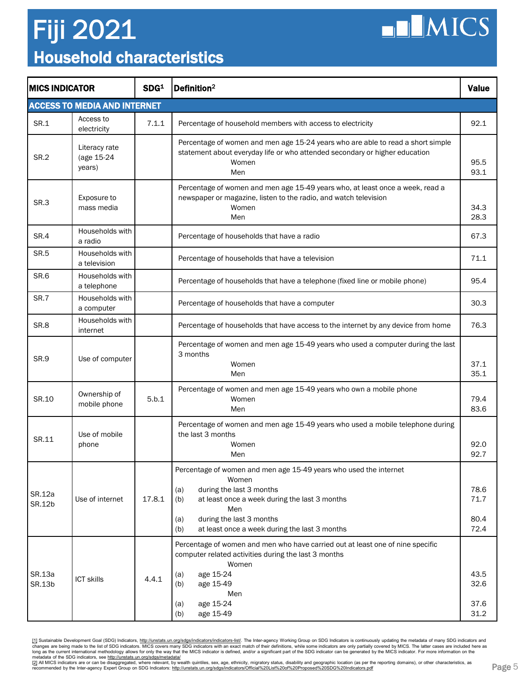### Household characteristics Fiji 2021



| <b>MICS INDICATOR</b> |                                       | SDG <sup>1</sup> | $ $ Definition <sup>2</sup>                                                                                                                                                                                                                                             | <b>Value</b>                 |
|-----------------------|---------------------------------------|------------------|-------------------------------------------------------------------------------------------------------------------------------------------------------------------------------------------------------------------------------------------------------------------------|------------------------------|
|                       | <b>ACCESS TO MEDIA AND INTERNET</b>   |                  |                                                                                                                                                                                                                                                                         |                              |
| SR.1                  | Access to<br>electricity              | 7.1.1            | Percentage of household members with access to electricity                                                                                                                                                                                                              | 92.1                         |
| <b>SR.2</b>           | Literacy rate<br>(age 15-24<br>years) |                  | Percentage of women and men age 15-24 years who are able to read a short simple<br>statement about everyday life or who attended secondary or higher education<br>Women<br>Men                                                                                          | 95.5<br>93.1                 |
| SR.3                  | Exposure to<br>mass media             |                  | Percentage of women and men age 15-49 years who, at least once a week, read a<br>newspaper or magazine, listen to the radio, and watch television<br>Women<br>Men                                                                                                       | 34.3<br>28.3                 |
| SR.4                  | Households with<br>a radio            |                  | Percentage of households that have a radio                                                                                                                                                                                                                              | 67.3                         |
| <b>SR.5</b>           | Households with<br>a television       |                  | Percentage of households that have a television                                                                                                                                                                                                                         | 71.1                         |
| SR.6                  | Households with<br>a telephone        |                  | Percentage of households that have a telephone (fixed line or mobile phone)                                                                                                                                                                                             | 95.4                         |
| SR.7                  | Households with<br>a computer         |                  | Percentage of households that have a computer                                                                                                                                                                                                                           | 30.3                         |
| SR.8                  | Households with<br>internet           |                  | Percentage of households that have access to the internet by any device from home                                                                                                                                                                                       | 76.3                         |
| SR.9                  | Use of computer                       |                  | Percentage of women and men age 15-49 years who used a computer during the last<br>3 months<br>Women<br>Men                                                                                                                                                             | 37.1<br>35.1                 |
| SR.10                 | Ownership of<br>mobile phone          | 5.b.1            | Percentage of women and men age 15-49 years who own a mobile phone<br>Women<br>Men                                                                                                                                                                                      | 79.4<br>83.6                 |
| SR.11                 | Use of mobile<br>phone                |                  | Percentage of women and men age 15-49 years who used a mobile telephone during<br>the last 3 months<br>Women<br>Men                                                                                                                                                     | 92.0<br>92.7                 |
| SR.12a<br>SR.12b      | Use of internet                       | 17.8.1           | Percentage of women and men age 15-49 years who used the internet<br>Women<br>during the last 3 months<br>(a)<br>(b)<br>at least once a week during the last 3 months<br>Men<br>during the last 3 months<br>(a)<br>at least once a week during the last 3 months<br>(b) | 78.6<br>71.7<br>80.4<br>72.4 |
| SR.13a<br>SR.13b      | <b>ICT skills</b>                     | 4.4.1            | Percentage of women and men who have carried out at least one of nine specific<br>computer related activities during the last 3 months<br>Women<br>age 15-24<br>(a)<br>age 15-49<br>(b)<br>Men<br>age 15-24<br>(a)<br>age 15-49<br>(b)                                  | 43.5<br>32.6<br>37.6<br>31.2 |

[1] Sustainable Development Goal (SDG) Indicators, <http://unstats.un.org/sdgs/indicators/indicators-list/>. The Inter-agency Working Group on SDG Indicators is continuously updating the metadata of many SDG indicators and changes are being made to the list of SDG indicators. MICS covers many SDG indicators with an exact match of their definitions, while some indicators are only partially covered by MICS. The latter cases are included here a

[<u>2]</u> All MICS indicators are or can be disaggregated, where relevant, by wealth quintiles, sex, age, ethnicity, migratory status, disability and geographic location (as per the reporting domains), or other characteristics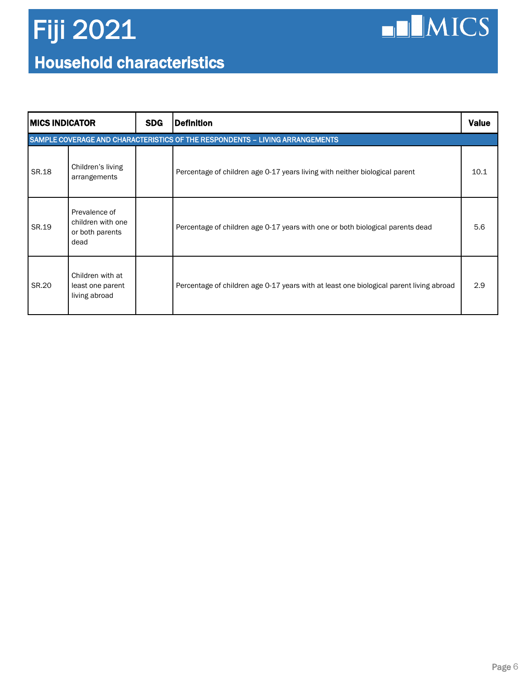### Household characteristics Fiji 2021

 $\n **LMICS**\n$ 

| IMICS INDICATOR                                                              |                                                               | <b>SDG</b> | Definition                                                                              | <b>Value</b> |  |  |
|------------------------------------------------------------------------------|---------------------------------------------------------------|------------|-----------------------------------------------------------------------------------------|--------------|--|--|
| SAMPLE COVERAGE AND CHARACTERISTICS OF THE RESPONDENTS - LIVING ARRANGEMENTS |                                                               |            |                                                                                         |              |  |  |
| SR.18                                                                        | Children's living<br>arrangements                             |            | Percentage of children age 0-17 years living with neither biological parent             | 10.1         |  |  |
| SR.19                                                                        | Prevalence of<br>children with one<br>or both parents<br>dead |            | Percentage of children age 0-17 years with one or both biological parents dead          | 5.6          |  |  |
| SR.20                                                                        | Children with at<br>least one parent<br>living abroad         |            | Percentage of children age 0-17 years with at least one biological parent living abroad | 2.9          |  |  |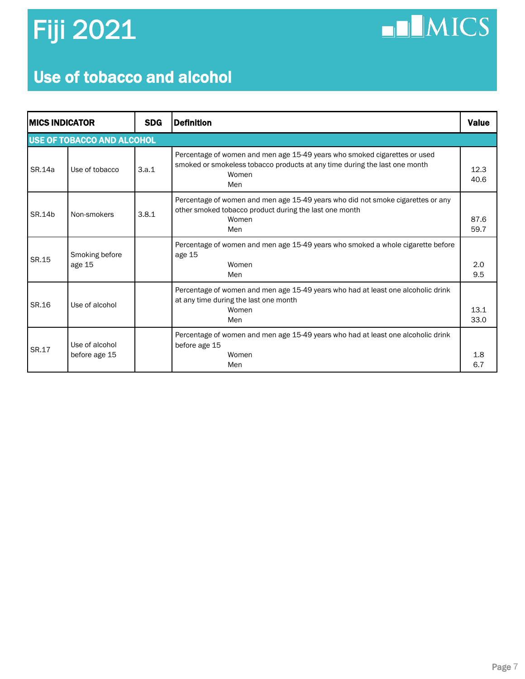$\n **IMICS**\n$ 

### Use of tobacco and alcohol

|                                   | <b>IMICS INDICATOR</b>          |       | <b>Definition</b>                                                                                                                                                       | <b>Value</b> |  |  |  |
|-----------------------------------|---------------------------------|-------|-------------------------------------------------------------------------------------------------------------------------------------------------------------------------|--------------|--|--|--|
| <b>USE OF TOBACCO AND ALCOHOL</b> |                                 |       |                                                                                                                                                                         |              |  |  |  |
| SR.14a                            | Use of tobacco                  | 3.a.1 | Percentage of women and men age 15-49 years who smoked cigarettes or used<br>smoked or smokeless tobacco products at any time during the last one month<br>Women<br>Men | 12.3<br>40.6 |  |  |  |
| SR.14b                            | Non-smokers                     | 3.8.1 | Percentage of women and men age 15-49 years who did not smoke cigarettes or any<br>other smoked tobacco product during the last one month<br>Women<br>Men               | 87.6<br>59.7 |  |  |  |
| SR.15                             | Smoking before<br>age 15        |       | Percentage of women and men age 15-49 years who smoked a whole cigarette before<br>age 15<br>Women<br>Men                                                               | 2.0<br>9.5   |  |  |  |
| SR.16                             | Use of alcohol                  |       | Percentage of women and men age 15-49 years who had at least one alcoholic drink<br>at any time during the last one month<br>Women<br>Men                               | 13.1<br>33.0 |  |  |  |
| SR.17                             | Use of alcohol<br>before age 15 |       | Percentage of women and men age 15-49 years who had at least one alcoholic drink<br>before age 15<br>Women<br>Men                                                       | 1.8<br>6.7   |  |  |  |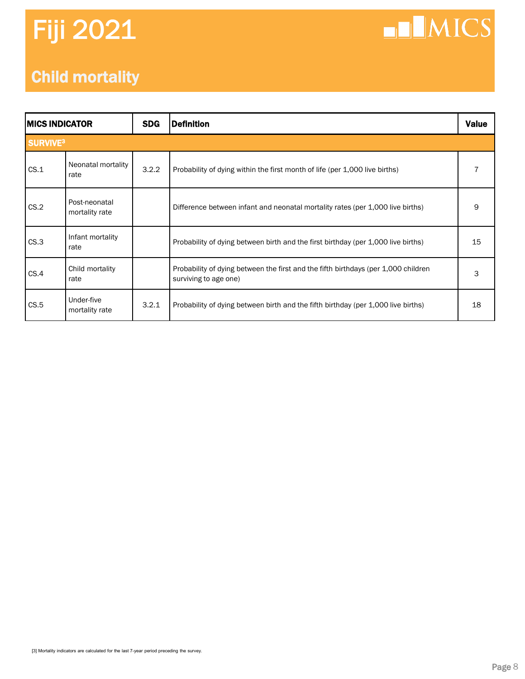## **NNICS**

### Child mortality

| <b>MICS INDICATOR</b>      |                                 | <b>SDG</b> | <b>Definition</b>                                                                                           | <b>Value</b> |  |
|----------------------------|---------------------------------|------------|-------------------------------------------------------------------------------------------------------------|--------------|--|
| <b>SURVIVE<sup>3</sup></b> |                                 |            |                                                                                                             |              |  |
| CS.1                       | Neonatal mortality<br>rate      | 3.2.2      | Probability of dying within the first month of life (per 1,000 live births)                                 |              |  |
| CS.2                       | Post-neonatal<br>mortality rate |            | Difference between infant and neonatal mortality rates (per 1,000 live births)                              | 9            |  |
| CS.3                       | Infant mortality<br>rate        |            | Probability of dying between birth and the first birthday (per 1,000 live births)                           | 15           |  |
| CS.4                       | Child mortality<br>rate         |            | Probability of dying between the first and the fifth birthdays (per 1,000 children<br>surviving to age one) | 3            |  |
| CS.5                       | Under-five<br>mortality rate    | 3.2.1      | Probability of dying between birth and the fifth birthday (per 1,000 live births)                           | 18           |  |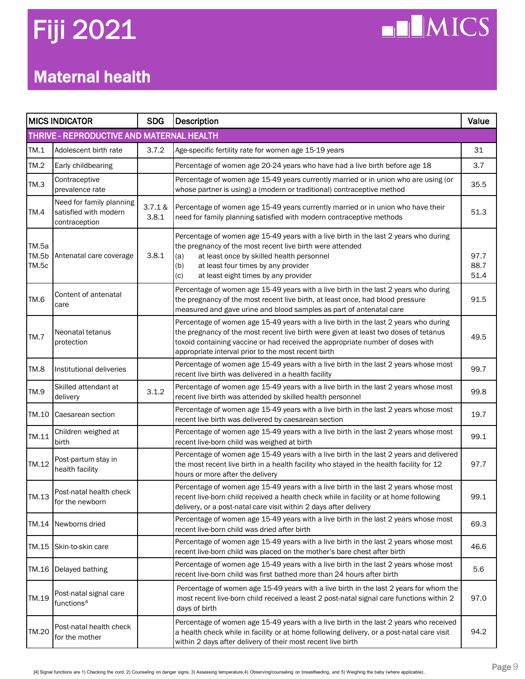$\n **II MICS**\n$ 

### Maternal health

|                         | <b>MICS INDICATOR</b>                                              | <b>SDG</b>       | <b>Description</b>                                                                                                                                                                                                                                                                                                    | Value                |
|-------------------------|--------------------------------------------------------------------|------------------|-----------------------------------------------------------------------------------------------------------------------------------------------------------------------------------------------------------------------------------------------------------------------------------------------------------------------|----------------------|
|                         | THRIVE - REPRODUCTIVE AND MATERNAL HEALTH                          |                  |                                                                                                                                                                                                                                                                                                                       |                      |
| TM.1                    | Adolescent birth rate                                              | 3.7.2            | Age-specific fertility rate for women age 15-19 years                                                                                                                                                                                                                                                                 | 31                   |
| TM.2                    | Early childbearing                                                 |                  | Percentage of women age 20-24 years who have had a live birth before age 18                                                                                                                                                                                                                                           | 3.7                  |
| TM.3                    | Contraceptive<br>prevalence rate                                   |                  | Percentage of women age 15-49 years currently married or in union who are using (or<br>whose partner is using) a (modern or traditional) contraceptive method                                                                                                                                                         | 35.5                 |
| TM.4                    | Need for family planning<br>satisfied with modern<br>contraception | 3.7.1 &<br>3.8.1 | Percentage of women age 15-49 years currently married or in union who have their<br>need for family planning satisfied with modern contraceptive methods                                                                                                                                                              | 51.3                 |
| TM.5a<br>TM.5b<br>TM.5c | Antenatal care coverage                                            | 3.8.1            | Percentage of women age 15-49 years with a live birth in the last 2 years who during<br>the pregnancy of the most recent live birth were attended<br>at least once by skilled health personnel<br>(a)<br>at least four times by any provider<br>(b)<br>at least eight times by any provider<br>(c)                    | 97.7<br>88.7<br>51.4 |
| TM.6                    | Content of antenatal<br>care                                       |                  | Percentage of women age 15-49 years with a live birth in the last 2 years who during<br>the pregnancy of the most recent live birth, at least once, had blood pressure<br>measured and gave urine and blood samples as part of antenatal care                                                                         | 91.5                 |
| TM.7                    | Neonatal tetanus<br>protection                                     |                  | Percentage of women age 15-49 years with a live birth in the last 2 years who during<br>the pregnancy of the most recent live birth were given at least two doses of tetanus<br>toxoid containing vaccine or had received the appropriate number of doses with<br>appropriate interval prior to the most recent birth | 49.5                 |
| TM.8                    | Institutional deliveries                                           |                  | Percentage of women age 15-49 years with a live birth in the last 2 years whose most<br>recent live birth was delivered in a health facility                                                                                                                                                                          | 99.7                 |
| TM.9                    | Skilled attendant at<br>delivery                                   | 3.1.2            | Percentage of women age 15-49 years with a live birth in the last 2 years whose most<br>recent live birth was attended by skilled health personnel                                                                                                                                                                    | 99.8                 |
| TM.10                   | Caesarean section                                                  |                  | Percentage of women age 15-49 years with a live birth in the last 2 years whose most<br>recent live birth was delivered by caesarean section                                                                                                                                                                          | 19.7                 |
| TM.11                   | Children weighed at<br>birth                                       |                  | Percentage of women age 15-49 years with a live birth in the last 2 years whose most<br>recent live-born child was weighed at birth                                                                                                                                                                                   | 99.1                 |
| TM.12                   | Post-partum stay in<br>health facility                             |                  | Percentage of women age 15-49 years with a live birth in the last 2 years and delivered<br>the most recent live birth in a health facility who stayed in the health facility for 12<br>hours or more after the delivery                                                                                               | 97.7                 |
|                         | TM.13 Post-natal health check<br>for the newborn                   |                  | Percentage of women age 15-49 years with a live birth in the last 2 years whose most<br>recent live-born child received a health check while in facility or at home following<br>delivery, or a post-natal care visit within 2 days after delivery                                                                    | 99.1                 |
| TM.14                   | Newborns dried                                                     |                  | Percentage of women age 15-49 years with a live birth in the last 2 years whose most<br>recent live-born child was dried after birth                                                                                                                                                                                  | 69.3                 |
| TM.15                   | Skin-to-skin care                                                  |                  | Percentage of women age 15-49 years with a live birth in the last 2 years whose most<br>recent live-born child was placed on the mother's bare chest after birth                                                                                                                                                      | 46.6                 |
| TM.16                   | Delayed bathing                                                    |                  | Percentage of women age 15-49 years with a live birth in the last 2 years whose most<br>recent live-born child was first bathed more than 24 hours after birth                                                                                                                                                        | 5.6                  |
| TM.19                   | Post-natal signal care<br>functions <sup>4</sup>                   |                  | Percentage of women age 15-49 years with a live birth in the last 2 years for whom the<br>most recent live-born child received a least 2 post-natal signal care functions within 2<br>days of birth                                                                                                                   | 97.0                 |
| TM.20                   | Post-natal health check<br>for the mother                          |                  | Percentage of women age 15-49 years with a live birth in the last 2 years who received<br>a health check while in facility or at home following delivery, or a post-natal care visit<br>within 2 days after delivery of their most recent live birth                                                                  | 94.2                 |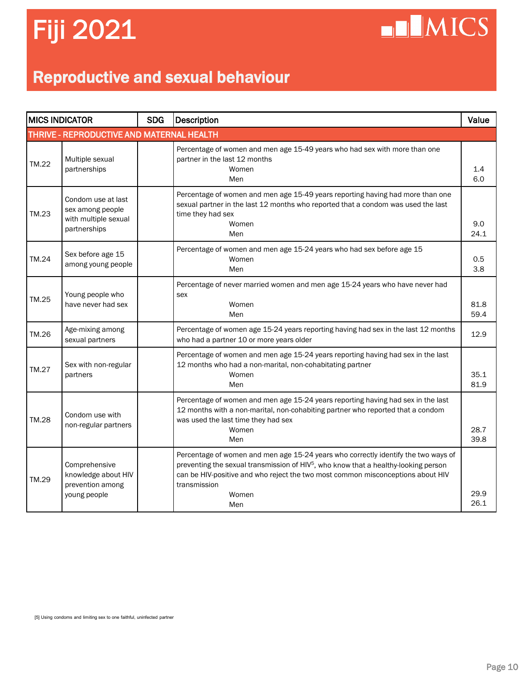**NIMICS** 

### Reproductive and sexual behaviour

| <b>MICS INDICATOR</b> |                                                                                | <b>SDG</b> | <b>Description</b>                                                                                                                                                                                                                                                                                       | Value        |
|-----------------------|--------------------------------------------------------------------------------|------------|----------------------------------------------------------------------------------------------------------------------------------------------------------------------------------------------------------------------------------------------------------------------------------------------------------|--------------|
|                       | THRIVE - REPRODUCTIVE AND MATERNAL HEALTH                                      |            |                                                                                                                                                                                                                                                                                                          |              |
| TM.22                 | Multiple sexual<br>partnerships                                                |            | Percentage of women and men age 15-49 years who had sex with more than one<br>partner in the last 12 months<br>Women<br>Men                                                                                                                                                                              | 1.4<br>6.0   |
| TM.23                 | Condom use at last<br>sex among people<br>with multiple sexual<br>partnerships |            | Percentage of women and men age 15-49 years reporting having had more than one<br>sexual partner in the last 12 months who reported that a condom was used the last<br>time they had sex<br>Women<br>Men                                                                                                 | 9.0<br>24.1  |
| TM.24                 | Sex before age 15<br>among young people                                        |            | Percentage of women and men age 15-24 years who had sex before age 15<br>Women<br>Men                                                                                                                                                                                                                    | 0.5<br>3.8   |
| TM.25                 | Young people who<br>have never had sex                                         |            | Percentage of never married women and men age 15-24 years who have never had<br>sex<br>Women<br>Men                                                                                                                                                                                                      | 81.8<br>59.4 |
| TM.26                 | Age-mixing among<br>sexual partners                                            |            | Percentage of women age 15-24 years reporting having had sex in the last 12 months<br>who had a partner 10 or more years older                                                                                                                                                                           | 12.9         |
| TM.27                 | Sex with non-regular<br>partners                                               |            | Percentage of women and men age 15-24 years reporting having had sex in the last<br>12 months who had a non-marital, non-cohabitating partner<br>Women<br>Men                                                                                                                                            | 35.1<br>81.9 |
| <b>TM.28</b>          | Condom use with<br>non-regular partners                                        |            | Percentage of women and men age 15-24 years reporting having had sex in the last<br>12 months with a non-marital, non-cohabiting partner who reported that a condom<br>was used the last time they had sex<br>Women<br>Men                                                                               | 28.7<br>39.8 |
| TM.29                 | Comprehensive<br>knowledge about HIV<br>prevention among<br>young people       |            | Percentage of women and men age 15-24 years who correctly identify the two ways of<br>preventing the sexual transmission of HIV <sup>5</sup> , who know that a healthy-looking person<br>can be HIV-positive and who reject the two most common misconceptions about HIV<br>transmission<br>Women<br>Men | 29.9<br>26.1 |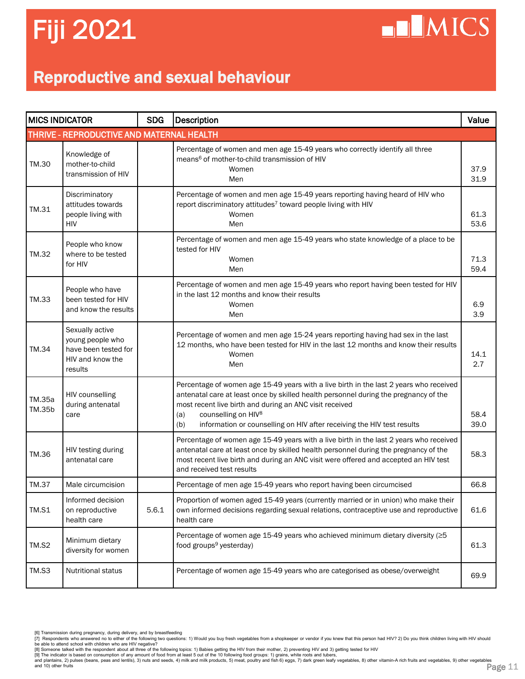**ELMICS** 

### Reproductive and sexual behaviour

| <b>MICS INDICATOR</b> |                                                                                            | <b>SDG</b> | Description                                                                                                                                                                                                                                                                                                                                                          | Value        |
|-----------------------|--------------------------------------------------------------------------------------------|------------|----------------------------------------------------------------------------------------------------------------------------------------------------------------------------------------------------------------------------------------------------------------------------------------------------------------------------------------------------------------------|--------------|
|                       | THRIVE - REPRODUCTIVE AND MATERNAL HEALTH                                                  |            |                                                                                                                                                                                                                                                                                                                                                                      |              |
| TM.30                 | Knowledge of<br>mother-to-child<br>transmission of HIV                                     |            | Percentage of women and men age 15-49 years who correctly identify all three<br>means <sup>6</sup> of mother-to-child transmission of HIV<br>Women<br>Men                                                                                                                                                                                                            | 37.9<br>31.9 |
| TM.31                 | Discriminatory<br>attitudes towards<br>people living with<br>HIV                           |            | Percentage of women and men age 15-49 years reporting having heard of HIV who<br>report discriminatory attitudes <sup>7</sup> toward people living with HIV<br>Women<br>Men                                                                                                                                                                                          | 61.3<br>53.6 |
| TM.32                 | People who know<br>where to be tested<br>for HIV                                           |            | Percentage of women and men age 15-49 years who state knowledge of a place to be<br>tested for HIV<br>Women<br>Men                                                                                                                                                                                                                                                   | 71.3<br>59.4 |
| TM.33                 | People who have<br>been tested for HIV<br>and know the results                             |            | Percentage of women and men age 15-49 years who report having been tested for HIV<br>in the last 12 months and know their results<br>Women<br>Men                                                                                                                                                                                                                    | 6.9<br>3.9   |
| TM.34                 | Sexually active<br>young people who<br>have been tested for<br>HIV and know the<br>results |            | Percentage of women and men age 15-24 years reporting having had sex in the last<br>12 months, who have been tested for HIV in the last 12 months and know their results<br>Women<br>Men                                                                                                                                                                             | 14.1<br>2.7  |
| TM.35a<br>TM.35b      | HIV counselling<br>during antenatal<br>care                                                |            | Percentage of women age 15-49 years with a live birth in the last 2 years who received<br>antenatal care at least once by skilled health personnel during the pregnancy of the<br>most recent live birth and during an ANC visit received<br>counselling on HIV <sup>8</sup><br>(a)<br>information or counselling on HIV after receiving the HIV test results<br>(b) | 58.4<br>39.0 |
| TM.36                 | HIV testing during<br>antenatal care                                                       |            | Percentage of women age 15-49 years with a live birth in the last 2 years who received<br>antenatal care at least once by skilled health personnel during the pregnancy of the<br>most recent live birth and during an ANC visit were offered and accepted an HIV test<br>and received test results                                                                  | 58.3         |
| <b>TM.37</b>          | Male circumcision                                                                          |            | Percentage of men age 15-49 years who report having been circumcised                                                                                                                                                                                                                                                                                                 | 66.8         |
| TM.S1                 | Informed decision<br>on reproductive<br>health care                                        | 5.6.1      | Proportion of women aged 15-49 years (currently married or in union) who make their<br>own informed decisions regarding sexual relations, contraceptive use and reproductive<br>health care                                                                                                                                                                          | 61.6         |
| TM.S2                 | Minimum dietary<br>diversity for women                                                     |            | Percentage of women age 15-49 years who achieved minimum dietary diversity (≥5<br>food groups <sup>9</sup> yesterday)                                                                                                                                                                                                                                                | 61.3         |
| TM.S3                 | Nutritional status                                                                         |            | Percentage of women age 15-49 years who are categorised as obese/overweight                                                                                                                                                                                                                                                                                          | 69.9         |

- 
- 

be able to attend school with children who are HIV negative?<br>[8] Someone talked with the respondent about all thre of the following topics: 1) Babies getting the HIV from their mother, 2) preventing HIV and 3) getting test

<sup>[6]</sup> Transmission during pregnancy, during delivery, and by breastfeeding<br>[7] Respondents who answered no to either of the following two questions: 1) Would you buy fresh vegetables from a shopkeeper or vendor if you knew t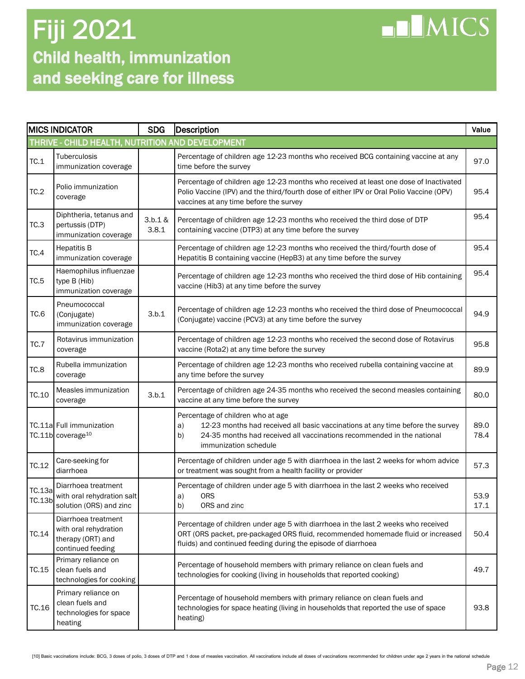### Child health, immunization and seeking care for illness Fiji 2021

| <b>NUMICS</b> |
|---------------|
|               |

|                  | <b>MICS INDICATOR</b>                                                                  | <b>SDG</b>       | Description                                                                                                                                                                                                                             | Value        |
|------------------|----------------------------------------------------------------------------------------|------------------|-----------------------------------------------------------------------------------------------------------------------------------------------------------------------------------------------------------------------------------------|--------------|
|                  | THRIVE - CHILD HEALTH, NUTRITION AND DEVELOPMENT                                       |                  |                                                                                                                                                                                                                                         |              |
| TC.1             | Tuberculosis<br>immunization coverage                                                  |                  | Percentage of children age 12-23 months who received BCG containing vaccine at any<br>time before the survey                                                                                                                            | 97.0         |
| TC.2             | Polio immunization<br>coverage                                                         |                  | Percentage of children age 12-23 months who received at least one dose of Inactivated<br>Polio Vaccine (IPV) and the third/fourth dose of either IPV or Oral Polio Vaccine (OPV)<br>vaccines at any time before the survey              | 95.4         |
| TC.3             | Diphtheria, tetanus and<br>pertussis (DTP)<br>immunization coverage                    | 3.b.1 &<br>3.8.1 | Percentage of children age 12-23 months who received the third dose of DTP<br>containing vaccine (DTP3) at any time before the survey                                                                                                   | 95.4         |
| TC.4             | <b>Hepatitis B</b><br>immunization coverage                                            |                  | Percentage of children age 12-23 months who received the third/fourth dose of<br>Hepatitis B containing vaccine (HepB3) at any time before the survey                                                                                   | 95.4         |
| TC.5             | Haemophilus influenzae<br>type B (Hib)<br>immunization coverage                        |                  | Percentage of children age 12-23 months who received the third dose of Hib containing<br>vaccine (Hib3) at any time before the survey                                                                                                   | 95.4         |
| TC.6             | Pneumococcal<br>(Conjugate)<br>immunization coverage                                   | 3.b.1            | Percentage of children age 12-23 months who received the third dose of Pneumococcal<br>(Conjugate) vaccine (PCV3) at any time before the survey                                                                                         | 94.9         |
| <b>TC.7</b>      | Rotavirus immunization<br>coverage                                                     |                  | Percentage of children age 12-23 months who received the second dose of Rotavirus<br>vaccine (Rota2) at any time before the survey                                                                                                      | 95.8         |
| TC.8             | Rubella immunization<br>coverage                                                       |                  | Percentage of children age 12-23 months who received rubella containing vaccine at<br>any time before the survey                                                                                                                        | 89.9         |
| TC.10            | Measles immunization<br>coverage                                                       | 3.b.1            | Percentage of children age 24-35 months who received the second measles containing<br>vaccine at any time before the survey                                                                                                             | 80.0         |
|                  | TC.11a Full immunization<br>TC.11b coverage <sup>10</sup>                              |                  | Percentage of children who at age<br>12-23 months had received all basic vaccinations at any time before the survey<br>a)<br>24-35 months had received all vaccinations recommended in the national<br>b)<br>immunization schedule      | 89.0<br>78.4 |
| TC.12            | Care-seeking for<br>diarrhoea                                                          |                  | Percentage of children under age 5 with diarrhoea in the last 2 weeks for whom advice<br>or treatment was sought from a health facility or provider                                                                                     | 57.3         |
| TC.13a<br>TC.13b | Diarrhoea treatment<br>with oral rehydration salt<br>solution (ORS) and zinc           |                  | Percentage of children under age 5 with diarrhoea in the last 2 weeks who received<br><b>ORS</b><br>a)<br>b)<br>ORS and zinc                                                                                                            | 53.9<br>17.1 |
| TC.14            | Diarrhoea treatment<br>with oral rehydration<br>therapy (ORT) and<br>continued feeding |                  | Percentage of children under age 5 with diarrhoea in the last 2 weeks who received<br>ORT (ORS packet, pre-packaged ORS fluid, recommended homemade fluid or increased<br>fluids) and continued feeding during the episode of diarrhoea | 50.4         |
| TC.15            | Primary reliance on<br>clean fuels and<br>technologies for cooking                     |                  | Percentage of household members with primary reliance on clean fuels and<br>technologies for cooking (living in households that reported cooking)                                                                                       | 49.7         |
| TC.16            | Primary reliance on<br>clean fuels and<br>technologies for space<br>heating            |                  | Percentage of household members with primary reliance on clean fuels and<br>technologies for space heating (living in households that reported the use of space<br>heating)                                                             | 93.8         |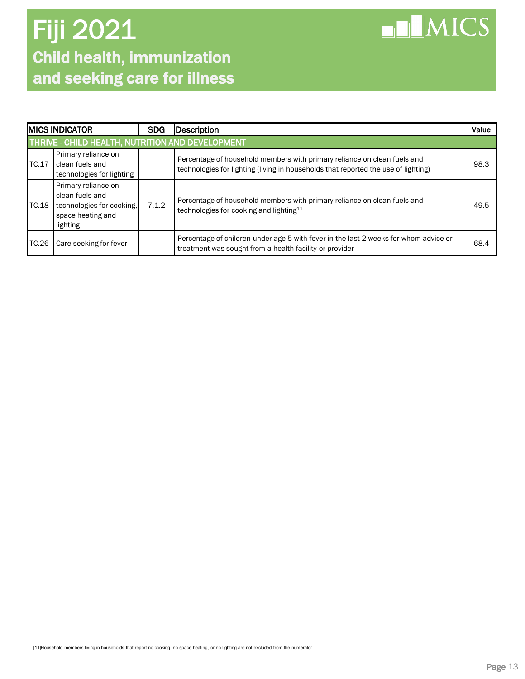

|         | <b>IMICS INDICATOR</b>                                                                               |       | Description                                                                                                                                                    | Value |
|---------|------------------------------------------------------------------------------------------------------|-------|----------------------------------------------------------------------------------------------------------------------------------------------------------------|-------|
|         | THRIVE - CHILD HEALTH, NUTRITION AND DEVELOPMENT                                                     |       |                                                                                                                                                                |       |
| IC.17   | Primary reliance on<br>clean fuels and<br>technologies for lighting                                  |       | Percentage of household members with primary reliance on clean fuels and<br>technologies for lighting (living in households that reported the use of lighting) | 98.3  |
| l TC.18 | Primary reliance on<br>clean fuels and<br>technologies for cooking,<br>space heating and<br>lighting | 7.1.2 | Percentage of household members with primary reliance on clean fuels and<br>technologies for cooking and lighting <sup>11</sup>                                | 49.5  |
| TC.26   | Care-seeking for fever                                                                               |       | Percentage of children under age 5 with fever in the last 2 weeks for whom advice or<br>treatment was sought from a health facility or provider                | 68.4  |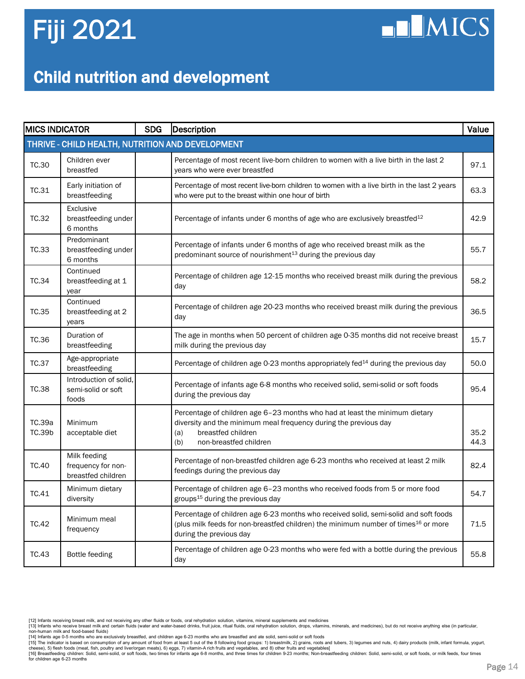## **HIMICS**

### Child nutrition and development

| <b>MICS INDICATOR</b> |                                                          | <b>SDG</b> | Description                                                                                                                                                                                                       | Value        |
|-----------------------|----------------------------------------------------------|------------|-------------------------------------------------------------------------------------------------------------------------------------------------------------------------------------------------------------------|--------------|
|                       | THRIVE - CHILD HEALTH, NUTRITION AND DEVELOPMENT         |            |                                                                                                                                                                                                                   |              |
| <b>TC.30</b>          | Children ever<br>breastfed                               |            | Percentage of most recent live-born children to women with a live birth in the last 2<br>years who were ever breastfed                                                                                            | 97.1         |
| TC.31                 | Early initiation of<br>breastfeeding                     |            | Percentage of most recent live-born children to women with a live birth in the last 2 years<br>who were put to the breast within one hour of birth                                                                | 63.3         |
| <b>TC.32</b>          | <b>Exclusive</b><br>breastfeeding under<br>6 months      |            | Percentage of infants under 6 months of age who are exclusively breastfed <sup>12</sup>                                                                                                                           | 42.9         |
| TC.33                 | Predominant<br>breastfeeding under<br>6 months           |            | Percentage of infants under 6 months of age who received breast milk as the<br>predominant source of nourishment <sup>13</sup> during the previous day                                                            | 55.7         |
| TC.34                 | Continued<br>breastfeeding at 1<br>year                  |            | Percentage of children age 12-15 months who received breast milk during the previous<br>day                                                                                                                       | 58.2         |
| <b>TC.35</b>          | Continued<br>breastfeeding at 2<br>years                 |            | Percentage of children age 20-23 months who received breast milk during the previous<br>day                                                                                                                       | 36.5         |
| TC.36                 | Duration of<br>breastfeeding                             |            | The age in months when 50 percent of children age 0-35 months did not receive breast<br>milk during the previous day                                                                                              | 15.7         |
| <b>TC.37</b>          | Age-appropriate<br>breastfeeding                         |            | Percentage of children age 0-23 months appropriately fed <sup>14</sup> during the previous day                                                                                                                    | 50.0         |
| <b>TC.38</b>          | Introduction of solid.<br>semi-solid or soft<br>foods    |            | Percentage of infants age 6-8 months who received solid, semi-solid or soft foods<br>during the previous day                                                                                                      | 95.4         |
| TC.39a<br>TC.39b      | Minimum<br>acceptable diet                               |            | Percentage of children age 6-23 months who had at least the minimum dietary<br>diversity and the minimum meal frequency during the previous day<br>breastfed children<br>(a)<br>non-breastfed children<br>(b)     | 35.2<br>44.3 |
| <b>TC.40</b>          | Milk feeding<br>frequency for non-<br>breastfed children |            | Percentage of non-breastfed children age 6-23 months who received at least 2 milk<br>feedings during the previous day                                                                                             | 82.4         |
| TC.41                 | Minimum dietary<br>diversity                             |            | Percentage of children age 6-23 months who received foods from 5 or more food<br>groups <sup>15</sup> during the previous day                                                                                     | 54.7         |
| <b>TC.42</b>          | Minimum meal<br>frequency                                |            | Percentage of children age 6-23 months who received solid, semi-solid and soft foods<br>(plus milk feeds for non-breastfed children) the minimum number of times <sup>16</sup> or more<br>during the previous day | 71.5         |
| TC.43                 | Bottle feeding                                           |            | Percentage of children age 0-23 months who were fed with a bottle during the previous<br>day                                                                                                                      | 55.8         |

[12] Infants receiving breast milk, and not receiving any other fluids or foods, oral rehydration solution, vitamins, mineral supplements and medicines<br>[13] Infants who receive breast milk and orterain fluids (water and wa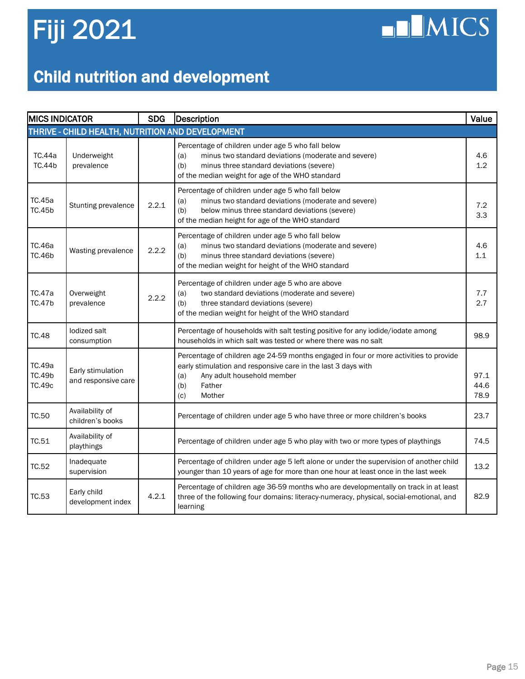$\n **II** MICS$ 

### Child nutrition and development

| <b>MICS INDICATOR</b>                            |                                          | <b>SDG</b> | <b>Description</b>                                                                                                                                                                                                            | Value                |  |  |
|--------------------------------------------------|------------------------------------------|------------|-------------------------------------------------------------------------------------------------------------------------------------------------------------------------------------------------------------------------------|----------------------|--|--|
| THRIVE - CHILD HEALTH, NUTRITION AND DEVELOPMENT |                                          |            |                                                                                                                                                                                                                               |                      |  |  |
| TC.44a<br><b>TC.44b</b>                          | Underweight<br>prevalence                |            | Percentage of children under age 5 who fall below<br>minus two standard deviations (moderate and severe)<br>(a)<br>(b)<br>minus three standard deviations (severe)<br>of the median weight for age of the WHO standard        | 4.6<br>1.2           |  |  |
| TC.45a<br><b>TC.45b</b>                          | Stunting prevalence                      | 2.2.1      | Percentage of children under age 5 who fall below<br>minus two standard deviations (moderate and severe)<br>(a)<br>(b)<br>below minus three standard deviations (severe)<br>of the median height for age of the WHO standard  | 7.2<br>3.3           |  |  |
| TC.46a<br><b>TC.46b</b>                          | Wasting prevalence                       | 2.2.2      | Percentage of children under age 5 who fall below<br>minus two standard deviations (moderate and severe)<br>(a)<br>(b)<br>minus three standard deviations (severe)<br>of the median weight for height of the WHO standard     | 4.6<br>1.1           |  |  |
| TC.47a<br><b>TC.47b</b>                          | Overweight<br>prevalence                 | 2.2.2      | Percentage of children under age 5 who are above<br>two standard deviations (moderate and severe)<br>(a)<br>three standard deviations (severe)<br>(b)<br>of the median weight for height of the WHO standard                  | 7.7<br>2.7           |  |  |
| <b>TC.48</b>                                     | lodized salt<br>consumption              |            | Percentage of households with salt testing positive for any iodide/iodate among<br>households in which salt was tested or where there was no salt                                                                             | 98.9                 |  |  |
| TC.49a<br><b>TC.49b</b><br>TC.49c                | Early stimulation<br>and responsive care |            | Percentage of children age 24-59 months engaged in four or more activities to provide<br>early stimulation and responsive care in the last 3 days with<br>Any adult household member<br>(a)<br>(b)<br>Father<br>(c)<br>Mother | 97.1<br>44.6<br>78.9 |  |  |
| TC.50                                            | Availability of<br>children's books      |            | Percentage of children under age 5 who have three or more children's books                                                                                                                                                    | 23.7                 |  |  |
| TC.51                                            | Availability of<br>playthings            |            | Percentage of children under age 5 who play with two or more types of playthings                                                                                                                                              | 74.5                 |  |  |
| TC.52                                            | Inadequate<br>supervision                |            | Percentage of children under age 5 left alone or under the supervision of another child<br>younger than 10 years of age for more than one hour at least once in the last week                                                 | 13.2                 |  |  |
| TC.53                                            | Early child<br>development index         | 4.2.1      | Percentage of children age 36-59 months who are developmentally on track in at least<br>three of the following four domains: literacy-numeracy, physical, social-emotional, and<br>learning                                   | 82.9                 |  |  |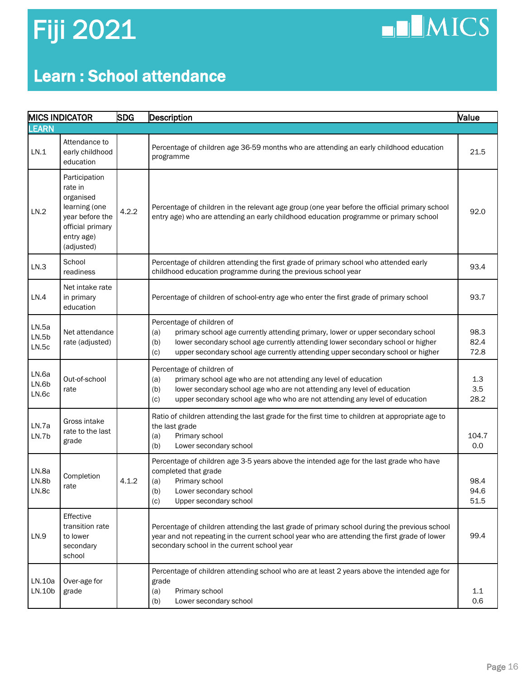## $\n **II MICS**\n$

### Learn : School attendance

| <b>SDG</b><br><b>MICS INDICATOR</b><br>Description |                                                                                                                           | <b>Value</b> |                                                                                                                                                                                                                                                                                                         |                      |
|----------------------------------------------------|---------------------------------------------------------------------------------------------------------------------------|--------------|---------------------------------------------------------------------------------------------------------------------------------------------------------------------------------------------------------------------------------------------------------------------------------------------------------|----------------------|
| <b>LEARN</b>                                       |                                                                                                                           |              |                                                                                                                                                                                                                                                                                                         |                      |
| LN.1                                               | Attendance to<br>early childhood<br>education                                                                             |              | Percentage of children age 36-59 months who are attending an early childhood education<br>programme                                                                                                                                                                                                     | 21.5                 |
| LN.2                                               | Participation<br>rate in<br>organised<br>learning (one<br>year before the<br>official primary<br>entry age)<br>(adjusted) | 4.2.2        | Percentage of children in the relevant age group (one year before the official primary school<br>entry age) who are attending an early childhood education programme or primary school                                                                                                                  | 92.0                 |
| LN.3                                               | School<br>readiness                                                                                                       |              | Percentage of children attending the first grade of primary school who attended early<br>childhood education programme during the previous school year                                                                                                                                                  | 93.4                 |
| LN.4                                               | Net intake rate<br>in primary<br>education                                                                                |              | Percentage of children of school-entry age who enter the first grade of primary school                                                                                                                                                                                                                  | 93.7                 |
| LN.5a<br>LN.5b<br>LN.5c                            | Net attendance<br>rate (adjusted)                                                                                         |              | Percentage of children of<br>primary school age currently attending primary, lower or upper secondary school<br>(a)<br>lower secondary school age currently attending lower secondary school or higher<br>(b)<br>upper secondary school age currently attending upper secondary school or higher<br>(c) | 98.3<br>82.4<br>72.8 |
| LN.6a<br>LN.6b<br>LN.6c                            | Out-of-school<br>rate                                                                                                     |              | Percentage of children of<br>primary school age who are not attending any level of education<br>(a)<br>lower secondary school age who are not attending any level of education<br>(b)<br>upper secondary school age who who are not attending any level of education<br>(c)                             | 1.3<br>3.5<br>28.2   |
| LN.7a<br>LN.7b                                     | Gross intake<br>rate to the last<br>grade                                                                                 |              | Ratio of children attending the last grade for the first time to children at appropriate age to<br>the last grade<br>Primary school<br>(a)<br>Lower secondary school<br>(b)                                                                                                                             | 104.7<br>0.0         |
| LN.8a<br>LN.8b<br>LN.8c                            | Completion<br>rate                                                                                                        | 4.1.2        | Percentage of children age 3-5 years above the intended age for the last grade who have<br>completed that grade<br>Primary school<br>(a)<br>(b)<br>Lower secondary school<br>Upper secondary school<br>(c)                                                                                              | 98.4<br>94.6<br>51.5 |
| LN.9                                               | Effective<br>transition rate<br>to lower<br>secondary<br>school                                                           |              | Percentage of children attending the last grade of primary school during the previous school<br>year and not repeating in the current school year who are attending the first grade of lower<br>secondary school in the current school year                                                             | 99.4                 |
| LN.10a<br>LN.10b                                   | Over-age for<br>grade                                                                                                     |              | Percentage of children attending school who are at least 2 years above the intended age for<br>grade<br>Primary school<br>(a)<br>Lower secondary school<br>(b)                                                                                                                                          | 1.1<br>0.6           |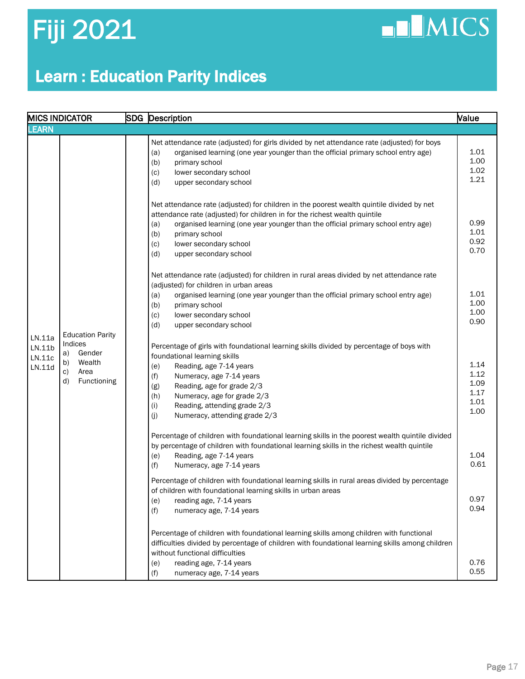**NICS** 

### Learn : Education Parity Indices

| <b>MICS INDICATOR</b>                |                                 |                                                                                                                                                                                                                                                                                                                                                                                                                                                                                                                                                                                                                                                                                                                                                                                                                                                                                                                                                                                              | SDG Description<br><b>Nalue</b>                                                                                                                                                                                                                                 |                                              |
|--------------------------------------|---------------------------------|----------------------------------------------------------------------------------------------------------------------------------------------------------------------------------------------------------------------------------------------------------------------------------------------------------------------------------------------------------------------------------------------------------------------------------------------------------------------------------------------------------------------------------------------------------------------------------------------------------------------------------------------------------------------------------------------------------------------------------------------------------------------------------------------------------------------------------------------------------------------------------------------------------------------------------------------------------------------------------------------|-----------------------------------------------------------------------------------------------------------------------------------------------------------------------------------------------------------------------------------------------------------------|----------------------------------------------|
| <b>EARN</b>                          |                                 |                                                                                                                                                                                                                                                                                                                                                                                                                                                                                                                                                                                                                                                                                                                                                                                                                                                                                                                                                                                              |                                                                                                                                                                                                                                                                 |                                              |
| LN.11a<br>LN.11b<br>LN.11c<br>LN.11d |                                 | (a)<br>(b)<br>primary school<br>lower secondary school<br>(c)<br>(d)<br>upper secondary school<br>(a)<br>primary school<br>(b)<br>lower secondary school<br>(c)<br>(d)<br>upper secondary school<br>(adjusted) for children in urban areas<br>(a)<br>(b)<br>primary school<br>lower secondary school<br>(c)<br>upper secondary school<br>(d)<br><b>Education Parity</b><br>Gender<br>foundational learning skills<br>Wealth<br>Reading, age 7-14 years<br>(e)<br>Area<br>(f)<br>Numeracy, age 7-14 years<br>Functioning<br>Reading, age for grade 2/3<br>(g)<br>Numeracy, age for grade 2/3<br>(h)<br>Reading, attending grade 2/3<br>(i)<br>(j)<br>Numeracy, attending grade 2/3<br>Reading, age 7-14 years<br>(e)<br>(f)<br>Numeracy, age 7-14 years<br>Percentage of children with foundational learning skills in rural areas divided by percentage<br>of children with foundational learning skills in urban areas<br>(e)<br>reading age, 7-14 years<br>(f)<br>numeracy age, 7-14 years | Net attendance rate (adjusted) for girls divided by net attendance rate (adjusted) for boys<br>organised learning (one year younger than the official primary school entry age)                                                                                 | 1.01<br>1.00<br>1.02<br>1.21                 |
|                                      |                                 |                                                                                                                                                                                                                                                                                                                                                                                                                                                                                                                                                                                                                                                                                                                                                                                                                                                                                                                                                                                              | Net attendance rate (adjusted) for children in the poorest wealth quintile divided by net<br>attendance rate (adjusted) for children in for the richest wealth quintile<br>organised learning (one year younger than the official primary school entry age)     | 0.99<br>1.01<br>0.92<br>0.70                 |
|                                      |                                 |                                                                                                                                                                                                                                                                                                                                                                                                                                                                                                                                                                                                                                                                                                                                                                                                                                                                                                                                                                                              | Net attendance rate (adjusted) for children in rural areas divided by net attendance rate<br>organised learning (one year younger than the official primary school entry age)                                                                                   | 1.01<br>1.00<br>1.00<br>0.90                 |
|                                      | Indices<br>a)<br>b)<br>c)<br>d) |                                                                                                                                                                                                                                                                                                                                                                                                                                                                                                                                                                                                                                                                                                                                                                                                                                                                                                                                                                                              | Percentage of girls with foundational learning skills divided by percentage of boys with                                                                                                                                                                        | 1.14<br>1.12<br>1.09<br>1.17<br>1.01<br>1.00 |
|                                      |                                 |                                                                                                                                                                                                                                                                                                                                                                                                                                                                                                                                                                                                                                                                                                                                                                                                                                                                                                                                                                                              | Percentage of children with foundational learning skills in the poorest wealth quintile divided<br>by percentage of children with foundational learning skills in the richest wealth quintile                                                                   | 1.04<br>0.61                                 |
|                                      |                                 |                                                                                                                                                                                                                                                                                                                                                                                                                                                                                                                                                                                                                                                                                                                                                                                                                                                                                                                                                                                              |                                                                                                                                                                                                                                                                 | 0.97<br>0.94                                 |
|                                      |                                 |                                                                                                                                                                                                                                                                                                                                                                                                                                                                                                                                                                                                                                                                                                                                                                                                                                                                                                                                                                                              | Percentage of children with foundational learning skills among children with functional<br>difficulties divided by percentage of children with foundational learning skills among children<br>without functional difficulties<br>reading age, 7-14 years<br>(e) | 0.76                                         |
|                                      |                                 |                                                                                                                                                                                                                                                                                                                                                                                                                                                                                                                                                                                                                                                                                                                                                                                                                                                                                                                                                                                              | (f)<br>numeracy age, 7-14 years                                                                                                                                                                                                                                 | 0.55                                         |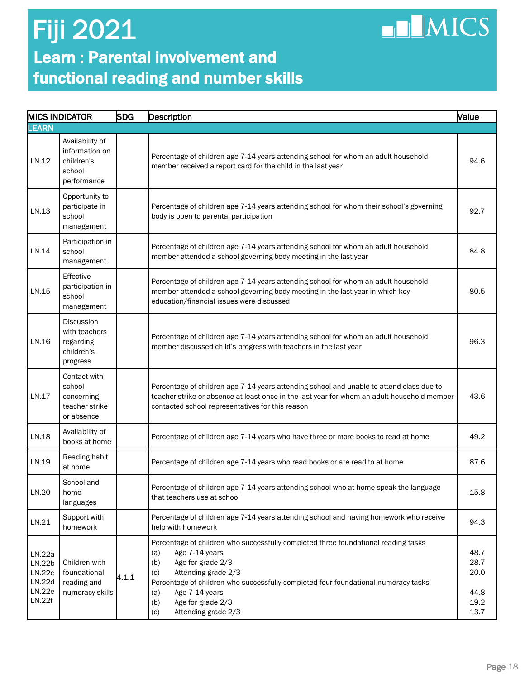## $\n **LMICS**\n$

### Learn : Parental involvement and functional reading and number skills

|                                                | <b>MICS INDICATOR</b>                                                     | <b>SDG</b> | Description                                                                                                                                                                                                                                                                          | Value                        |
|------------------------------------------------|---------------------------------------------------------------------------|------------|--------------------------------------------------------------------------------------------------------------------------------------------------------------------------------------------------------------------------------------------------------------------------------------|------------------------------|
| <b>LEARN</b>                                   |                                                                           |            |                                                                                                                                                                                                                                                                                      |                              |
| LN.12                                          | Availability of<br>information on<br>children's<br>school<br>performance  |            | Percentage of children age 7-14 years attending school for whom an adult household<br>member received a report card for the child in the last year                                                                                                                                   | 94.6                         |
| LN.13                                          | Opportunity to<br>participate in<br>school<br>management                  |            | Percentage of children age 7-14 years attending school for whom their school's governing<br>body is open to parental participation                                                                                                                                                   | 92.7                         |
| LN.14                                          | Participation in<br>school<br>management                                  |            | Percentage of children age 7-14 years attending school for whom an adult household<br>member attended a school governing body meeting in the last year                                                                                                                               | 84.8                         |
| LN.15                                          | Effective<br>participation in<br>school<br>management                     |            | Percentage of children age 7-14 years attending school for whom an adult household<br>member attended a school governing body meeting in the last year in which key<br>education/financial issues were discussed                                                                     | 80.5                         |
| LN.16                                          | <b>Discussion</b><br>with teachers<br>regarding<br>children's<br>progress |            | Percentage of children age 7-14 years attending school for whom an adult household<br>member discussed child's progress with teachers in the last year                                                                                                                               | 96.3                         |
| LN.17                                          | Contact with<br>school<br>concerning<br>teacher strike<br>or absence      |            | Percentage of children age 7-14 years attending school and unable to attend class due to<br>teacher strike or absence at least once in the last year for whom an adult household member<br>contacted school representatives for this reason                                          | 43.6                         |
| LN.18                                          | Availability of<br>books at home                                          |            | Percentage of children age 7-14 years who have three or more books to read at home                                                                                                                                                                                                   | 49.2                         |
| LN.19                                          | Reading habit<br>at home                                                  |            | Percentage of children age 7-14 years who read books or are read to at home                                                                                                                                                                                                          | 87.6                         |
| LN.20                                          | School and<br>home<br>languages                                           |            | Percentage of children age 7-14 years attending school who at home speak the language<br>that teachers use at school                                                                                                                                                                 | 15.8                         |
| LN.21                                          | Support with<br>homework                                                  |            | Percentage of children age 7-14 years attending school and having homework who receive<br>help with homework                                                                                                                                                                         | 94.3                         |
| LN.22a<br>LN.22b<br>LN.22c<br>LN.22d<br>LN.22e | Children with<br>foundational<br>reading and<br>numeracy skills           | 4.1.1      | Percentage of children who successfully completed three foundational reading tasks<br>Age 7-14 years<br>(a)<br>Age for grade 2/3<br>(b)<br>Attending grade 2/3<br>(c)<br>Percentage of children who successfully completed four foundational numeracy tasks<br>Age 7-14 years<br>(a) | 48.7<br>28.7<br>20.0<br>44.8 |
| LN.22f                                         |                                                                           |            | Age for grade 2/3<br>(b)<br>Attending grade 2/3<br>(c)                                                                                                                                                                                                                               | 19.2<br>13.7                 |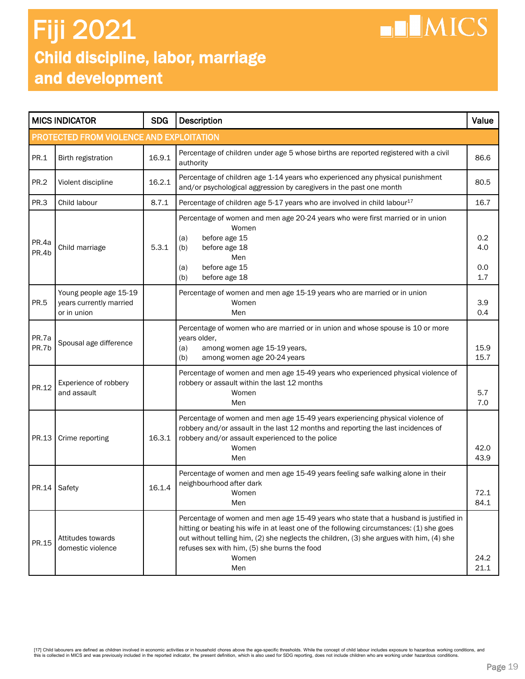### Child discipline, labor, marriage and development Fiji 2021

| <b>MICS INDICATOR</b>                    |                                                                  | <b>SDG</b> | Description                                                                                                                                                                                                                                                                                                                                  | Value                    |  |  |  |
|------------------------------------------|------------------------------------------------------------------|------------|----------------------------------------------------------------------------------------------------------------------------------------------------------------------------------------------------------------------------------------------------------------------------------------------------------------------------------------------|--------------------------|--|--|--|
| PROTECTED FROM VIOLENCE AND EXPLOITATION |                                                                  |            |                                                                                                                                                                                                                                                                                                                                              |                          |  |  |  |
| PR.1                                     | Birth registration                                               | 16.9.1     | Percentage of children under age 5 whose births are reported registered with a civil<br>authority                                                                                                                                                                                                                                            | 86.6                     |  |  |  |
| <b>PR.2</b>                              | Violent discipline                                               | 16.2.1     | Percentage of children age 1-14 years who experienced any physical punishment<br>and/or psychological aggression by caregivers in the past one month                                                                                                                                                                                         | 80.5                     |  |  |  |
| PR.3                                     | Child labour                                                     | 8.7.1      | Percentage of children age 5-17 years who are involved in child labour <sup>17</sup>                                                                                                                                                                                                                                                         | 16.7                     |  |  |  |
| PR.4a<br>PR.4b                           | Child marriage                                                   | 5.3.1      | Percentage of women and men age 20-24 years who were first married or in union<br>Women<br>before age 15<br>(a)<br>before age 18<br>(b)<br>Men<br>before age 15<br>(a)<br>before age 18<br>(b)                                                                                                                                               | 0.2<br>4.0<br>0.0<br>1.7 |  |  |  |
| <b>PR.5</b>                              | Young people age 15-19<br>years currently married<br>or in union |            | Percentage of women and men age 15-19 years who are married or in union<br>Women<br>Men                                                                                                                                                                                                                                                      | 3.9<br>0.4               |  |  |  |
| PR.7a<br>PR.7b                           | Spousal age difference                                           |            | Percentage of women who are married or in union and whose spouse is 10 or more<br>years older,<br>among women age 15-19 years,<br>(a)<br>among women age 20-24 years<br>(b)                                                                                                                                                                  | 15.9<br>15.7             |  |  |  |
| PR.12                                    | Experience of robbery<br>and assault                             |            | Percentage of women and men age 15-49 years who experienced physical violence of<br>robbery or assault within the last 12 months<br>Women<br>Men                                                                                                                                                                                             | 5.7<br>7.0               |  |  |  |
| PR.13                                    | Crime reporting                                                  | 16.3.1     | Percentage of women and men age 15-49 years experiencing physical violence of<br>robbery and/or assault in the last 12 months and reporting the last incidences of<br>robbery and/or assault experienced to the police<br>Women<br>Men                                                                                                       | 42.0<br>43.9             |  |  |  |
|                                          | PR.14 Safety                                                     | 16.1.4     | Percentage of women and men age 15-49 years feeling safe walking alone in their<br>neighbourhood after dark<br>Women<br>Men                                                                                                                                                                                                                  | 72.1<br>84.1             |  |  |  |
| PR.15                                    | Attitudes towards<br>domestic violence                           |            | Percentage of women and men age 15-49 years who state that a husband is justified in<br>hitting or beating his wife in at least one of the following circumstances: (1) she goes<br>out without telling him, (2) she neglects the children, (3) she argues with him, (4) she<br>refuses sex with him, (5) she burns the food<br>Women<br>Men | 24.2<br>21.1             |  |  |  |

**HIMICS**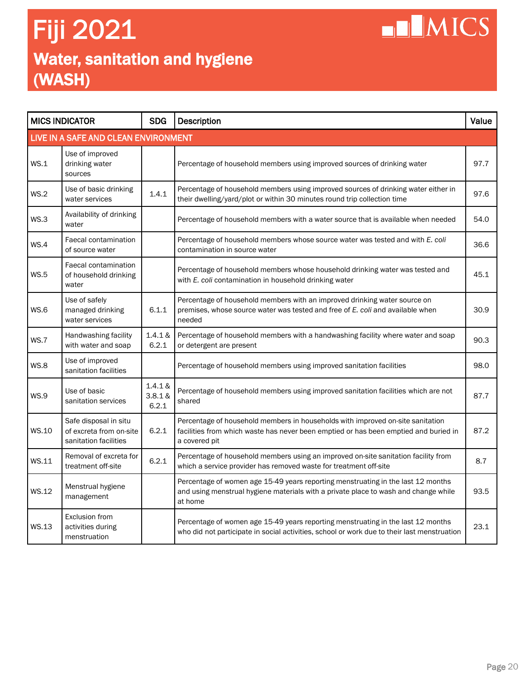### Water, sanitation and hygiene (WASH) Fiji 2021

| <b>MICS INDICATOR</b>                |                                                                           | <b>SDG</b>                  | <b>Description</b>                                                                                                                                                                      | Value |  |  |  |
|--------------------------------------|---------------------------------------------------------------------------|-----------------------------|-----------------------------------------------------------------------------------------------------------------------------------------------------------------------------------------|-------|--|--|--|
| LIVE IN A SAFE AND CLEAN ENVIRONMENT |                                                                           |                             |                                                                                                                                                                                         |       |  |  |  |
| WS.1                                 | Use of improved<br>drinking water<br>sources                              |                             | Percentage of household members using improved sources of drinking water                                                                                                                | 97.7  |  |  |  |
| WS.2                                 | Use of basic drinking<br>water services                                   | 1.4.1                       | Percentage of household members using improved sources of drinking water either in<br>their dwelling/yard/plot or within 30 minutes round trip collection time                          | 97.6  |  |  |  |
| WS.3                                 | Availability of drinking<br>water                                         |                             | Percentage of household members with a water source that is available when needed                                                                                                       | 54.0  |  |  |  |
| WS.4                                 | Faecal contamination<br>of source water                                   |                             | Percentage of household members whose source water was tested and with E. coli<br>contamination in source water                                                                         | 36.6  |  |  |  |
| <b>WS.5</b>                          | Faecal contamination<br>of household drinking<br>water                    |                             | Percentage of household members whose household drinking water was tested and<br>with E. coli contamination in household drinking water                                                 | 45.1  |  |  |  |
| <b>WS.6</b>                          | Use of safely<br>managed drinking<br>water services                       | 6.1.1                       | Percentage of household members with an improved drinking water source on<br>premises, whose source water was tested and free of E. coli and available when<br>needed                   | 30.9  |  |  |  |
| WS.7                                 | Handwashing facility<br>with water and soap                               | 1.4.1 &<br>6.2.1            | Percentage of household members with a handwashing facility where water and soap<br>or detergent are present                                                                            | 90.3  |  |  |  |
| <b>WS.8</b>                          | Use of improved<br>sanitation facilities                                  |                             | Percentage of household members using improved sanitation facilities                                                                                                                    | 98.0  |  |  |  |
| <b>WS.9</b>                          | Use of basic<br>sanitation services                                       | 1.4.1 &<br>3.8.1 &<br>6.2.1 | Percentage of household members using improved sanitation facilities which are not<br>shared                                                                                            | 87.7  |  |  |  |
| WS.10                                | Safe disposal in situ<br>of excreta from on-site<br>sanitation facilities | 6.2.1                       | Percentage of household members in households with improved on-site sanitation<br>facilities from which waste has never been emptied or has been emptied and buried in<br>a covered pit | 87.2  |  |  |  |
| WS.11                                | Removal of excreta for<br>treatment off-site                              | 6.2.1                       | Percentage of household members using an improved on-site sanitation facility from<br>which a service provider has removed waste for treatment off-site                                 | 8.7   |  |  |  |
| WS.12                                | Menstrual hygiene<br>management                                           |                             | Percentage of women age 15-49 years reporting menstruating in the last 12 months<br>and using menstrual hygiene materials with a private place to wash and change while<br>at home      | 93.5  |  |  |  |
| WS.13                                | Exclusion from<br>activities during<br>menstruation                       |                             | Percentage of women age 15-49 years reporting menstruating in the last 12 months<br>who did not participate in social activities, school or work due to their last menstruation         | 23.1  |  |  |  |

**NIMICS**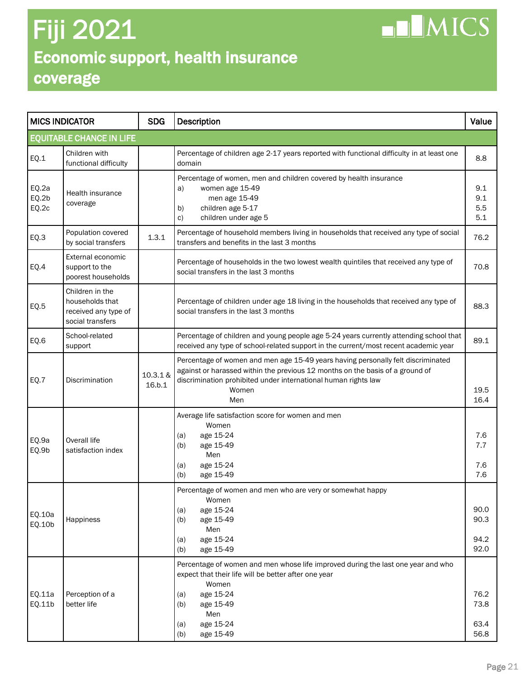### Economic support, health insurance coverage Fiji 2021

| <b>MICS INDICATOR</b>           |                                                                                | <b>SDG</b>         | Description                                                                                                                                                                                                                                         | Value                        |  |  |
|---------------------------------|--------------------------------------------------------------------------------|--------------------|-----------------------------------------------------------------------------------------------------------------------------------------------------------------------------------------------------------------------------------------------------|------------------------------|--|--|
| <b>EQUITABLE CHANCE IN LIFE</b> |                                                                                |                    |                                                                                                                                                                                                                                                     |                              |  |  |
| EQ.1                            | Children with<br>functional difficulty                                         |                    | Percentage of children age 2-17 years reported with functional difficulty in at least one<br>domain                                                                                                                                                 | 8.8                          |  |  |
| EQ.2a<br>EQ.2b<br>EQ.2c         | Health insurance<br>coverage                                                   |                    | Percentage of women, men and children covered by health insurance<br>women age 15-49<br>a)<br>men age 15-49<br>children age 5-17<br>b)<br>children under age 5<br>C)                                                                                | 9.1<br>9.1<br>5.5<br>5.1     |  |  |
| EQ.3                            | Population covered<br>by social transfers                                      | 1.3.1              | Percentage of household members living in households that received any type of social<br>transfers and benefits in the last 3 months                                                                                                                | 76.2                         |  |  |
| EQ.4                            | External economic<br>support to the<br>poorest households                      |                    | Percentage of households in the two lowest wealth quintiles that received any type of<br>social transfers in the last 3 months                                                                                                                      | 70.8                         |  |  |
| EQ.5                            | Children in the<br>households that<br>received any type of<br>social transfers |                    | Percentage of children under age 18 living in the households that received any type of<br>social transfers in the last 3 months                                                                                                                     | 88.3                         |  |  |
| EQ.6                            | School-related<br>support                                                      |                    | Percentage of children and young people age 5-24 years currently attending school that<br>received any type of school-related support in the current/most recent academic year                                                                      | 89.1                         |  |  |
| EQ.7                            | Discrimination                                                                 | 10.3.1 &<br>16.b.1 | Percentage of women and men age 15-49 years having personally felt discriminated<br>against or harassed within the previous 12 months on the basis of a ground of<br>discrimination prohibited under international human rights law<br>Women<br>Men | 19.5<br>16.4                 |  |  |
| EQ.9a<br>EQ.9b                  | Overall life<br>satisfaction index                                             |                    | Average life satisfaction score for women and men<br>Women<br>age 15-24<br>(a)<br>age 15-49<br>(b)<br>Men<br>age 15-24<br>(a)<br>age 15-49<br>(b)                                                                                                   | 7.6<br>7.7<br>7.6<br>7.6     |  |  |
| EQ.10a<br>EQ.10b                | Happiness                                                                      |                    | Percentage of women and men who are very or somewhat happy<br>Women<br>age 15-24<br>(a)<br>(b)<br>age 15-49<br>Men<br>age 15-24<br>(a)<br>age 15-49<br>(b)                                                                                          | 90.0<br>90.3<br>94.2<br>92.0 |  |  |
| EQ.11a<br>EQ.11b                | Perception of a<br>better life                                                 |                    | Percentage of women and men whose life improved during the last one year and who<br>expect that their life will be better after one year<br>Women<br>age 15-24<br>(a)<br>age 15-49<br>(b)<br>Men<br>age 15-24<br>(a)<br>age 15-49<br>(b)            | 76.2<br>73.8<br>63.4<br>56.8 |  |  |

 $\n **IMICS**\n$